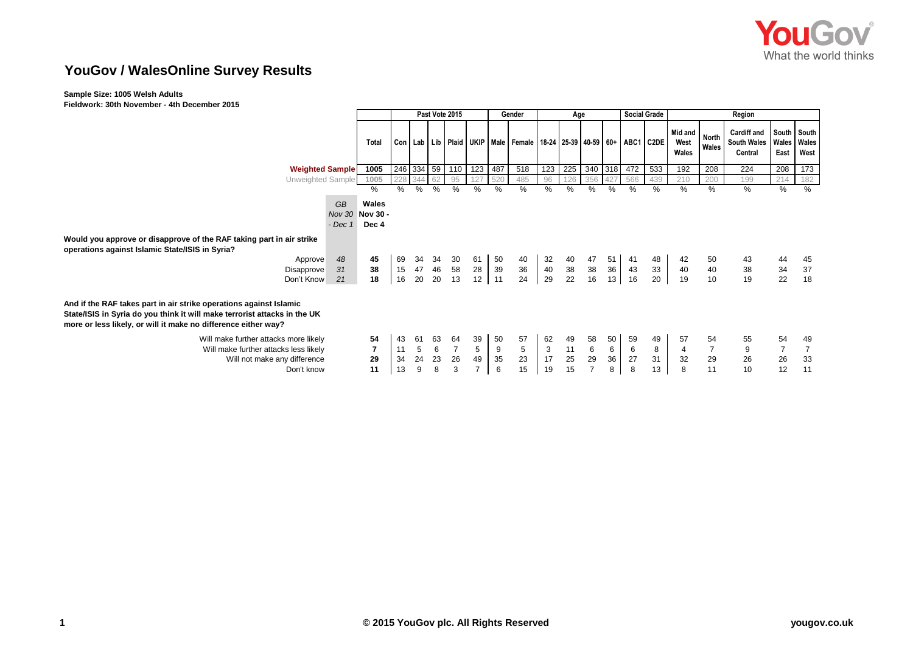

## **YouGov / WalesOnline Survey Results**

## **Sample Size: 1005 Welsh Adults**

**Fieldwork: 30th November - 4th December 2015**

|                                                                                                                                                                                                                                                            |                                                               | Past Vote 2015 |                |          |                |                             | Gender         | Age                                                                                        |                |                    |                | <b>Social Grade</b> |                | Region         |                          |                |                                                     |                                     |                |
|------------------------------------------------------------------------------------------------------------------------------------------------------------------------------------------------------------------------------------------------------------|---------------------------------------------------------------|----------------|----------------|----------|----------------|-----------------------------|----------------|--------------------------------------------------------------------------------------------|----------------|--------------------|----------------|---------------------|----------------|----------------|--------------------------|----------------|-----------------------------------------------------|-------------------------------------|----------------|
|                                                                                                                                                                                                                                                            | <b>Total</b>                                                  |                |                |          |                |                             |                | Con   Lab   Lib   Plaid   UKIP   Male   Female   18-24   25-39   40-59   60+   ABC1   C2DE |                |                    |                |                     |                |                | Mid and<br>West<br>Wales | North<br>Wales | <b>Cardiff and</b><br><b>South Wales</b><br>Central | South South<br><b>Wales</b><br>East | Wales<br>West  |
| <b>Weighted Sample</b>                                                                                                                                                                                                                                     |                                                               |                |                |          | 246 334 59 110 | 123                         | 487            | 518                                                                                        | 123            | 225                | 340 318        |                     | 472            | 533            | 192                      | 208            | 224                                                 | 208                                 | 173            |
| Unweighted Sample                                                                                                                                                                                                                                          |                                                               |                |                | 62       | 95             |                             | 520            | 485                                                                                        | 96             |                    | 356            | 427                 | 566            | 439            | 210                      | 200            | 199                                                 | 214                                 | 182            |
|                                                                                                                                                                                                                                                            | $\%$                                                          | $\%$           | %              | $\%$     | $\frac{0}{0}$  | $\%$                        | %              | %                                                                                          | %              | %                  | %              | $\%$                | $\%$           | $\%$           | $\%$                     | %              | %                                                   | %                                   | $\%$           |
| <b>GB</b><br>- Dec 1<br>Would you approve or disapprove of the RAF taking part in air strike<br>operations against Islamic State/ISIS in Syria?<br>48<br>Approve<br>31<br>Disapprove<br>21<br>Don't Know                                                   | Wales<br><b>Nov 30</b><br>Nov 30 -<br>Dec 4<br>45<br>38<br>18 | 69<br>15<br>16 | 34<br>47<br>20 | 46<br>20 | 30<br>58<br>13 | 61<br>28<br>12 <sup>2</sup> | 50<br>39<br>11 | 40<br>$36\,$<br>24                                                                         | 32<br>40<br>29 | 40<br>$38\,$<br>22 | 47<br>38<br>16 | 51<br>36<br>13      | 41<br>43<br>16 | 48<br>33<br>20 | 42<br>40<br>19           | 50<br>40<br>10 | 43<br>38<br>19                                      | 44<br>34<br>22                      | 45<br>37<br>18 |
| And if the RAF takes part in air strike operations against Islamic<br>State/ISIS in Syria do you think it will make terrorist attacks in the UK<br>more or less likely, or will it make no difference either way?<br>Will make further attacks more likely | 54                                                            | 43             | 61             | 63       | 64             | 39                          | 50             | 57                                                                                         | 62             | 49                 | 58             | 50                  | 59             | 49             | 57                       | 54             | 55                                                  | 54                                  | 49             |
| Will make further attacks less likely                                                                                                                                                                                                                      | $\overline{7}$                                                | 11             | 5              | 6        | $\overline{7}$ | 5                           | 9              | 5                                                                                          | 3              | 11                 | 6              | 6                   | 6              | 8              | $\overline{4}$           | $\overline{7}$ | 9                                                   | $\overline{7}$                      | $\overline{7}$ |
| Will not make any difference                                                                                                                                                                                                                               | 29                                                            | 34             | 24             | 23       | 26             | 49                          | 35             | 23                                                                                         | 17             | 25                 | 29             | 36                  | 27             | 31             | 32                       | 29             | 26                                                  | 26                                  | 33             |
| Don't know                                                                                                                                                                                                                                                 | 11                                                            | 13             | 9              | 8        | 3              |                             | 6              | 15                                                                                         | 19             | 15                 |                | 8                   | 8              | 13             | 8                        | 11             | 10                                                  | 12                                  | 11             |